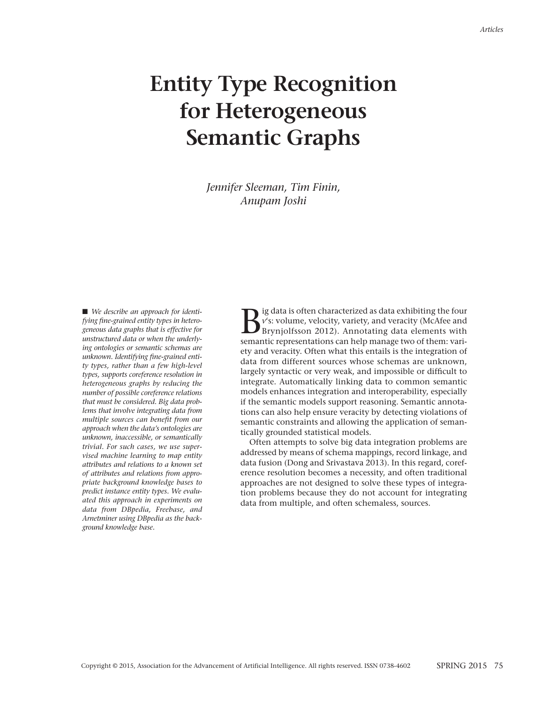# **Entity Type Recognition for Heterogeneous Semantic Graphs**

*Jennifer Sleeman, Tim Finin, Anupam Joshi*

■ *We describe an approach for identifying fine-grained entity types in heterogeneous data graphs that is effective for unstructured data or when the underlying ontologies or semantic schemas are unknown. Identifying fine-grained entity types, rather than a few high-level types, supports coreference resolution in heterogeneous graphs by reducing the number of possible coreference relations that must be considered. Big data problems that involve integrating data from multiple sources can benefit from our approach when the data's ontologies are unknown, inaccessible, or semantically trivial. For such cases, we use supervised machine learning to map entity attributes and relations to a known set of attributes and relations from appropriate background knowledge bases to predict instance entity types. We evaluated this approach in experiments on data from DBpedia, Freebase, and Arnetminer using DBpedia as the background knowledge base.*

 $\sum_{\substack{\nu' \text{si} \text{volume, velocity, variety, and veracity (McAfee and Brynjolfsson 2012). Annotating data elements with semantic representations can help manage two of them: vari$ *v*'s: volume, velocity, variety, and veracity (McAfee and Brynjolfsson 2012). Annotating data elements with semantic representations can help manage two of them: variety and veracity. Often what this entails is the integration of data from different sources whose schemas are unknown, largely syntactic or very weak, and impossible or difficult to integrate. Automatically linking data to common semantic models enhances integration and interoperability, especially if the semantic models support reasoning. Semantic annotations can also help ensure veracity by detecting violations of semantic constraints and allowing the application of semantically grounded statistical models.

Often attempts to solve big data integration problems are addressed by means of schema mappings, record linkage, and data fusion (Dong and Srivastava 2013). In this regard, coreference resolution becomes a necessity, and often traditional approaches are not designed to solve these types of integration problems because they do not account for integrating data from multiple, and often schemaless, sources.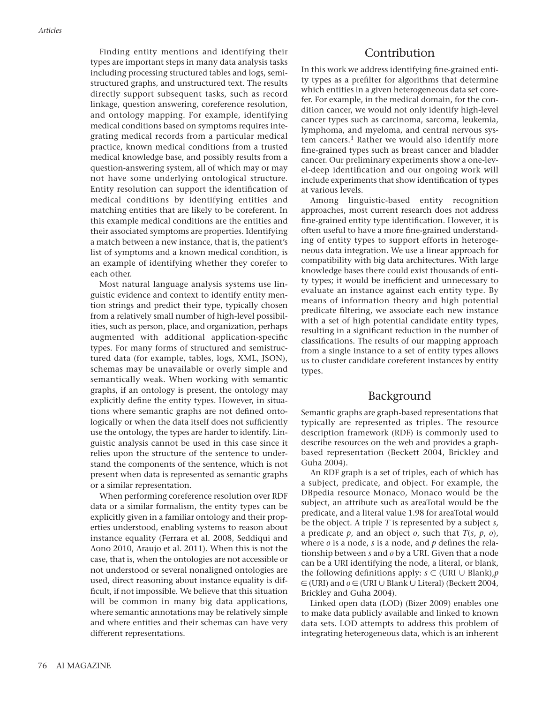Finding entity mentions and identifying their types are important steps in many data analysis tasks including processing structured tables and logs, semistructured graphs, and unstructured text. The results directly support subsequent tasks, such as record linkage, question answering, coreference resolution, and ontology mapping. For example, identifying medical conditions based on symptoms requires integrating medical records from a particular medical practice, known medical conditions from a trusted medical knowledge base, and possibly results from a question-answering system, all of which may or may not have some underlying ontological structure. Entity resolution can support the identification of medical conditions by identifying entities and matching entities that are likely to be coreferent. In this example medical conditions are the entities and their associated symptoms are properties. Identifying a match between a new instance, that is, the patient's list of symptoms and a known medical condition, is an example of identifying whether they corefer to each other.

Most natural language analysis systems use linguistic evidence and context to identify entity mention strings and predict their type, typically chosen from a relatively small number of high-level possibilities, such as person, place, and organization, perhaps augmented with additional application-specific types. For many forms of structured and semistructured data (for example, tables, logs, XML, JSON), schemas may be unavailable or overly simple and semantically weak. When working with semantic graphs, if an ontology is present, the ontology may explicitly define the entity types. However, in situations where semantic graphs are not defined ontologically or when the data itself does not sufficiently use the ontology, the types are harder to identify. Linguistic analysis cannot be used in this case since it relies upon the structure of the sentence to understand the components of the sentence, which is not present when data is represented as semantic graphs or a similar representation.

When performing coreference resolution over RDF data or a similar formalism, the entity types can be explicitly given in a familiar ontology and their properties understood, enabling systems to reason about instance equality (Ferrara et al. 2008, Seddiqui and Aono 2010, Araujo et al. 2011). When this is not the case, that is, when the ontologies are not accessible or not understood or several nonaligned ontologies are used, direct reasoning about instance equality is difficult, if not impossible. We believe that this situation will be common in many big data applications, where semantic annotations may be relatively simple and where entities and their schemas can have very different representations.

# Contribution

In this work we address identifying fine-grained entity types as a prefilter for algorithms that determine which entities in a given heterogeneous data set corefer. For example, in the medical domain, for the condition cancer, we would not only identify high-level cancer types such as carcinoma, sarcoma, leukemia, lymphoma, and myeloma, and central nervous system cancers. <sup>1</sup> Rather we would also identify more fine-grained types such as breast cancer and bladder cancer. Our preliminary experiments show a one-level-deep identification and our ongoing work will include experiments that show identification of types at various levels.

Among linguistic-based entity recognition approaches, most current research does not address fine-grained entity type identification. However, it is often useful to have a more fine-grained understanding of entity types to support efforts in heterogeneous data integration. We use a linear approach for compatibility with big data architectures. With large knowledge bases there could exist thousands of entity types; it would be inefficient and unnecessary to evaluate an instance against each entity type. By means of information theory and high potential predicate filtering, we associate each new instance with a set of high potential candidate entity types, resulting in a significant reduction in the number of classifications. The results of our mapping approach from a single instance to a set of entity types allows us to cluster candidate coreferent instances by entity types.

# Background

Semantic graphs are graph-based representations that typically are represented as triples. The resource description framework (RDF) is commonly used to describe resources on the web and provides a graphbased representation (Beckett 2004, Brickley and Guha 2004).

An RDF graph is a set of triples, each of which has a subject, predicate, and object. For example, the DBpedia resource Monaco, Monaco would be the subject, an attribute such as areaTotal would be the predicate, and a literal value 1.98 for areaTotal would be the object. A triple *T* is represented by a subject *s*, a predicate *p*, and an object *o*, such that *T*(*s*, *p*, *o*), where *o* is a node, *s* is a node, and *p* defines the relationship between *s* and *o* by a URI. Given that a node can be a URI identifying the node, a literal, or blank, the following definitions apply:  $s$  ∈ (URI ∪ Blank),*p* ∈ (URI) and *o* ∈ (URI ∪ Blank ∪ Literal) (Beckett 2004, Brickley and Guha 2004).

Linked open data (LOD) (Bizer 2009) enables one to make data publicly available and linked to known data sets. LOD attempts to address this problem of integrating heterogeneous data, which is an inherent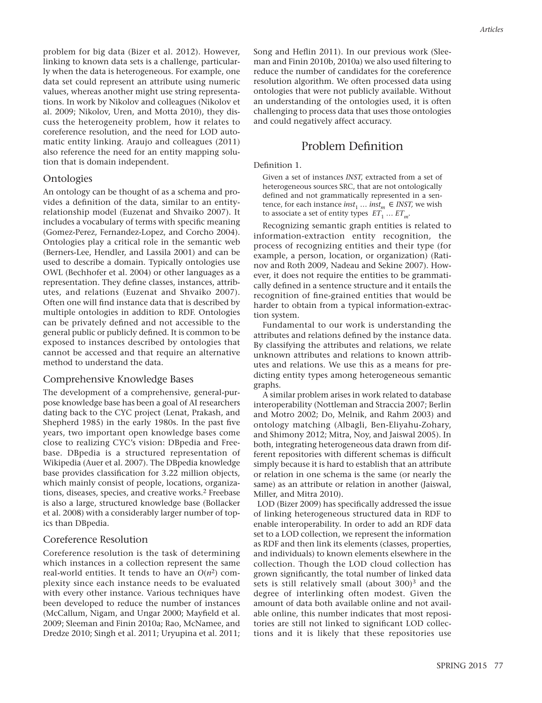problem for big data (Bizer et al. 2012). However, linking to known data sets is a challenge, particularly when the data is heterogeneous. For example, one data set could represent an attribute using numeric values, whereas another might use string representations. In work by Nikolov and colleagues (Nikolov et al. 2009; Nikolov, Uren, and Motta 2010), they discuss the heterogeneity problem, how it relates to coreference resolution, and the need for LOD automatic entity linking. Araujo and colleagues (2011) also reference the need for an entity mapping solution that is domain independent.

### **Ontologies**

An ontology can be thought of as a schema and provides a definition of the data, similar to an entityrelationship model (Euzenat and Shvaiko 2007). It includes a vocabulary of terms with specific meaning (Gomez-Perez, Fernandez-Lopez, and Corcho 2004). Ontologies play a critical role in the semantic web (Berners-Lee, Hendler, and Lassila 2001) and can be used to describe a domain. Typically ontologies use OWL (Bechhofer et al. 2004) or other languages as a representation. They define classes, instances, attributes, and relations (Euzenat and Shvaiko 2007). Often one will find instance data that is described by multiple ontologies in addition to RDF. Ontologies can be privately defined and not accessible to the general public or publicly defined. It is common to be exposed to instances described by ontologies that cannot be accessed and that require an alternative method to understand the data.

### Comprehensive Knowledge Bases

The development of a comprehensive, general-purpose knowledge base has been a goal of AI researchers dating back to the CYC project (Lenat, Prakash, and Shepherd 1985) in the early 1980s. In the past five years, two important open knowledge bases come close to realizing CYC's vision: DBpedia and Freebase. DBpedia is a structured representation of Wikipedia (Auer et al. 2007). The DBpedia knowledge base provides classification for 3.22 million objects, which mainly consist of people, locations, organizations, diseases, species, and creative works. <sup>2</sup> Freebase is also a large, structured knowledge base (Bollacker et al. 2008) with a considerably larger number of topics than DBpedia.

### Coreference Resolution

Coreference resolution is the task of determining which instances in a collection represent the same real-world entities. It tends to have an *O*(*n*2) complexity since each instance needs to be evaluated with every other instance. Various techniques have been developed to reduce the number of instances (McCallum, Nigam, and Ungar 2000; Mayfield et al. 2009; Sleeman and Finin 2010a; Rao, McNamee, and Dredze 2010; Singh et al. 2011; Uryupina et al. 2011; Song and Heflin 2011). In our previous work (Sleeman and Finin 2010b, 2010a) we also used filtering to reduce the number of candidates for the coreference resolution algorithm. We often processed data using ontologies that were not publicly available. Without an understanding of the ontologies used, it is often challenging to process data that uses those ontologies and could negatively affect accuracy.

# Problem Definition

#### Definition 1.

Given a set of instances *INST,* extracted from a set of heterogeneous sources SRC, that are not ontologically defined and not grammatically represented in a sentence, for each instance  $inst_1$  ...  $inst_m$  ∈ *INST*, we wish to associate a set of entity types  $ET_1 \dots ET_m$ .

Recognizing semantic graph entities is related to information-extraction entity recognition, the process of recognizing entities and their type (for example, a person, location, or organization) (Ratinov and Roth 2009, Nadeau and Sekine 2007). However, it does not require the entities to be grammatically defined in a sentence structure and it entails the recognition of fine-grained entities that would be harder to obtain from a typical information-extraction system.

Fundamental to our work is understanding the attributes and relations defined by the instance data. By classifying the attributes and relations, we relate unknown attributes and relations to known attributes and relations. We use this as a means for predicting entity types among heterogeneous semantic graphs.

A similar problem arises in work related to database interoperability (Nottleman and Straccia 2007; Berlin and Motro 2002; Do, Melnik, and Rahm 2003) and ontology matching (Albagli, Ben-Eliyahu-Zohary, and Shimony 2012; Mitra, Noy, and Jaiswal 2005). In both, integrating heterogeneous data drawn from different repositories with different schemas is difficult simply because it is hard to establish that an attribute or relation in one schema is the same (or nearly the same) as an attribute or relation in another (Jaiswal, Miller, and Mitra 2010).

LOD (Bizer 2009) has specifically addressed the issue of linking heterogeneous structured data in RDF to enable interoperability. In order to add an RDF data set to a LOD collection, we represent the information as RDF and then link its elements (classes, properties, and individuals) to known elements elsewhere in the collection. Though the LOD cloud collection has grown significantly, the total number of linked data sets is still relatively small (about  $300$ )<sup>3</sup> and the degree of interlinking often modest. Given the amount of data both available online and not available online, this number indicates that most repositories are still not linked to significant LOD collections and it is likely that these repositories use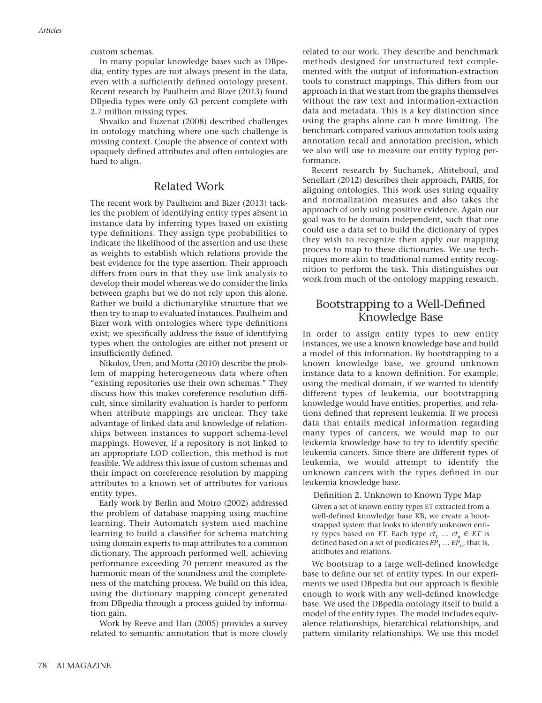custom schemas.

In many popular knowledge bases such as DBpedia, entity types are not always present in the data, even with a sufficiently defined ontology present. Recent research by Paulheim and Bizer (2013) found DBpedia types were only 63 percent complete with 2.7 million missing types.

Shvaiko and Euzenat (2008) described challenges in ontology matching where one such challenge is missing context. Couple the absence of context with opaquely defined attributes and often ontologies are hard to align.

### Related Work

The recent work by Paulheim and Bizer (2013) tackles the problem of identifying entity types absent in instance data by inferring types based on existing type definitions. They assign type probabilities to indicate the likelihood of the assertion and use these as weights to establish which relations provide the best evidence for the type assertion. Their approach differs from ours in that they use link analysis to develop their model whereas we do consider the links between graphs but we do not rely upon this alone. Rather we build a dictionarylike structure that we then try to map to evaluated instances. Paulheim and Bizer work with ontologies where type definitions exist; we specifically address the issue of identifying types when the ontologies are either not present or insufficiently defined.

Nikolov, Uren, and Motta (2010) describe the problem of mapping heterogeneous data where often "existing repositories use their own schemas." They discuss how this makes coreference resolution difficult, since similarity evaluation is harder to perform when attribute mappings are unclear. They take advantage of linked data and knowledge of relationships between instances to support schema-level mappings. However, if a repository is not linked to an appropriate LOD collection, this method is not feasible. We address this issue of custom schemas and their impact on coreference resolution by mapping attributes to a known set of attributes for various entity types.

Early work by Berlin and Motro (2002) addressed the problem of database mapping using machine learning. Their Automatch system used machine learning to build a classifier for schema matching using domain experts to map attributes to a common dictionary. The approach performed well, achieving performance exceeding 70 percent measured as the harmonic mean of the soundness and the completeness of the matching process. We build on this idea, using the dictionary mapping concept generated from DBpedia through a process guided by information gain.

Work by Reeve and Han (2005) provides a survey related to semantic annotation that is more closely related to our work. They describe and benchmark methods designed for unstructured text complemented with the output of information-extraction tools to construct mappings. This differs from our approach in that we start from the graphs themselves without the raw text and information-extraction data and metadata. This is a key distinction since using the graphs alone can b more limiting. The benchmark compared various annotation tools using annotation recall and annotation precision, which we also will use to measure our entity typing performance.

Recent research by Suchanek, Abiteboul, and Senellart (2012) describes their approach, PARIS, for aligning ontologies. This work uses string equality and normalization measures and also takes the approach of only using positive evidence. Again our goal was to be domain independent, such that one could use a data set to build the dictionary of types they wish to recognize then apply our mapping process to map to these dictionaries. We use techniques more akin to traditional named entity recognition to perform the task. This distinguishes our work from much of the ontology mapping research.

# Bootstrapping to a Well-Defined Knowledge Base

In order to assign entity types to new entity instances, we use a known knowledge base and build a model of this information. By bootstrapping to a known knowledge base, we ground unknown instance data to a known definition. For example, using the medical domain, if we wanted to identify different types of leukemia, our bootstrapping knowledge would have entities, properties, and relations defined that represent leukemia. If we process data that entails medical information regarding many types of cancers, we would map to our leukemia knowledge base to try to identify specific leukemia cancers. Since there are different types of leukemia, we would attempt to identify the unknown cancers with the types defined in our leukemia knowledge base.

Definition 2. Unknown to Known Type Map

Given a set of known entity types ET extracted from a well-defined knowledge base KB, we create a bootstrapped system that looks to identify unknown entity types based on ET. Each type  $et_1 \ldots et_n \in ET$  is defined based on a set of predicates  $EP_1 \dots EP_n$ , that is, attributes and relations.

We bootstrap to a large well-defined knowledge base to define our set of entity types. In our experiments we used DBpedia but our approach is flexible enough to work with any well-defined knowledge base. We used the DBpedia ontology itself to build a model of the entity types. The model includes equivalence relationships, hierarchical relationships, and pattern similarity relationships. We use this model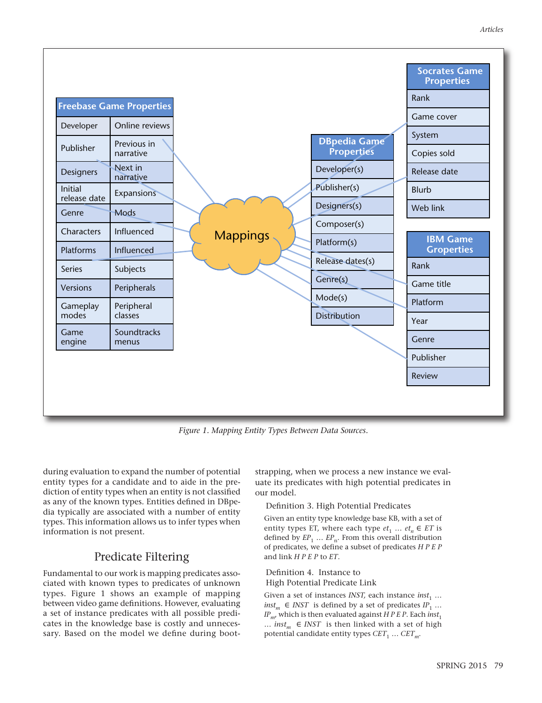

*Figure 1. Mapping Entity Types Between Data Sources.*

during evaluation to expand the number of potential entity types for a candidate and to aide in the prediction of entity types when an entity is not classified as any of the known types. Entities defined in DBpedia typically are associated with a number of entity types. This information allows us to infer types when information is not present.

# Predicate Filtering

Fundamental to our work is mapping predicates associated with known types to predicates of unknown types. Figure 1 shows an example of mapping between video game definitions. However, evaluating a set of instance predicates with all possible predicates in the knowledge base is costly and unnecessary. Based on the model we define during bootstrapping, when we process a new instance we evaluate its predicates with high potential predicates in our model.

Definition 3. High Potential Predicates

Given an entity type knowledge base KB, with a set of entity types ET, where each type  $et_1$  ...  $et_n \in ET$  is defined by  $EP_1$  ...  $EP_n$ . From this overall distribution of predicates, we define a subset of predicates *H P E P* and link *H P E P* to *ET*.

Definition 4. Instance to

High Potential Predicate Link

Given a set of instances *INST*, each instance  $inst_1$  ... *inst<sub>m</sub>* ∈ *INST* is defined by a set of predicates  $IP_1$  ... *IPm*, which is then evaluated against *H P E P*. Each *inst* 1 …  $inst_m$  ∈ *INST* is then linked with a set of high potential candidate entity types  $CET_1$  ...  $CET_m$ .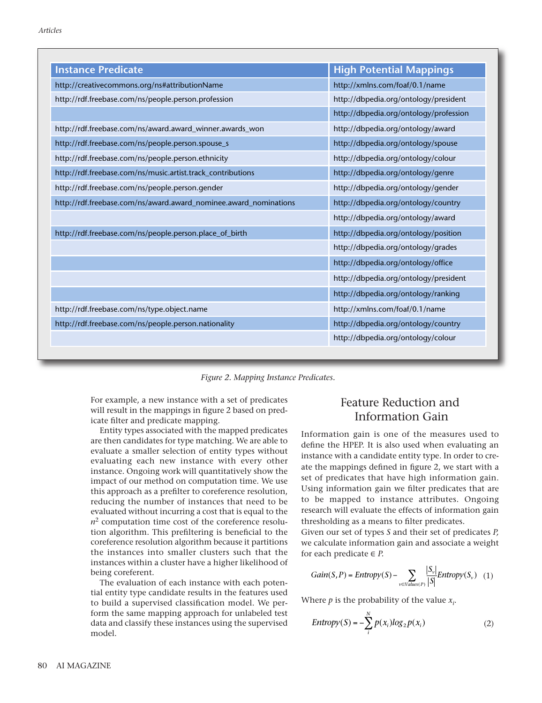| <b>Instance Predicate</b>                                        | <b>High Potential Mappings</b>         |
|------------------------------------------------------------------|----------------------------------------|
| http://creativecommons.org/ns#attributionName                    | http://xmlns.com/foaf/0.1/name         |
| http://rdf.freebase.com/ns/people.person.profession              | http://dbpedia.org/ontology/president  |
|                                                                  | http://dbpedia.org/ontology/profession |
| http://rdf.freebase.com/ns/award.award_winner.awards_won         | http://dbpedia.org/ontology/award      |
| http://rdf.freebase.com/ns/people.person.spouse_s                | http://dbpedia.org/ontology/spouse     |
| http://rdf.freebase.com/ns/people.person.ethnicity               | http://dbpedia.org/ontology/colour     |
| http://rdf.freebase.com/ns/music.artist.track_contributions      | http://dbpedia.org/ontology/genre      |
| http://rdf.freebase.com/ns/people.person.gender                  | http://dbpedia.org/ontology/gender     |
| http://rdf.freebase.com/ns/award.award_nominee.award_nominations | http://dbpedia.org/ontology/country    |
|                                                                  | http://dbpedia.org/ontology/award      |
| http://rdf.freebase.com/ns/people.person.place_of_birth          | http://dbpedia.org/ontology/position   |
|                                                                  | http://dbpedia.org/ontology/grades     |
|                                                                  | http://dbpedia.org/ontology/office     |
|                                                                  | http://dbpedia.org/ontology/president  |
|                                                                  | http://dbpedia.org/ontology/ranking    |
| http://rdf.freebase.com/ns/type.object.name                      | http://xmlns.com/foaf/0.1/name         |
| http://rdf.freebase.com/ns/people.person.nationality             | http://dbpedia.org/ontology/country    |
|                                                                  | http://dbpedia.org/ontology/colour     |

*Figure 2. Mapping Instance Predicates.*

For example, a new instance with a set of predicates will result in the mappings in figure 2 based on predicate filter and predicate mapping.

Entity types associated with the mapped predicates are then candidates for type matching. We are able to evaluate a smaller selection of entity types without evaluating each new instance with every other instance. Ongoing work will quantitatively show the impact of our method on computation time. We use this approach as a prefilter to coreference resolution, reducing the number of instances that need to be evaluated without incurring a cost that is equal to the  $n<sup>2</sup>$  computation time cost of the coreference resolution algorithm. This prefiltering is beneficial to the coreference resolution algorithm because it partitions the instances into smaller clusters such that the instances within a cluster have a higher likelihood of being coreferent.

The evaluation of each instance with each potential entity type candidate results in the features used to build a supervised classification model. We perform the same mapping approach for unlabeled test data and classify these instances using the supervised model.

# Feature Reduction and Information Gain

Information gain is one of the measures used to define the HPEP. It is also used when evaluating an instance with a candidate entity type. In order to create the mappings defined in figure 2, we start with a set of predicates that have high information gain. Using information gain we filter predicates that are to be mapped to instance attributes. Ongoing research will evaluate the effects of information gain thresholding as a means to filter predicates.

Given our set of types *S* and their set of predicates *P,* we calculate information gain and associate a weight for each predicate  $\in$  *P*.

$$
Gain(S, P) = Entropy(S) - \sum_{v \in Values(P)} \frac{|S_v|}{|S|} Entropy(S_v) \quad (1)
$$

Where  $p$  is the probability of the value  $x_i$ .

$$
Entropy(S) = -\sum_{i}^{N} p(x_i) \log_2 p(x_i)
$$
 (2)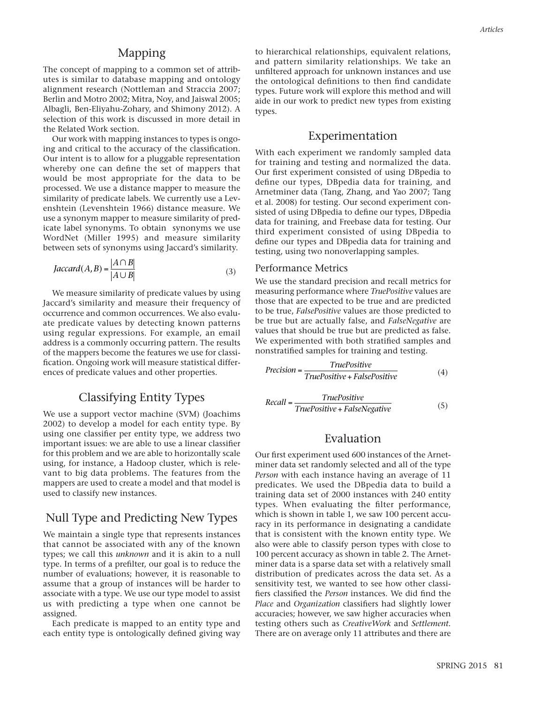### Mapping

The concept of mapping to a common set of attributes is similar to database mapping and ontology alignment research (Nottleman and Straccia 2007; Berlin and Motro 2002; Mitra, Noy, and Jaiswal 2005; Albagli, Ben-Eliyahu-Zohary, and Shimony 2012). A selection of this work is discussed in more detail in the Related Work section.

Our work with mapping instances to types is ongoing and critical to the accuracy of the classification. Our intent is to allow for a pluggable representation whereby one can define the set of mappers that would be most appropriate for the data to be processed. We use a distance mapper to measure the similarity of predicate labels. We currently use a Levenshtein (Levenshtein 1966) distance measure. We use a synonym mapper to measure similarity of predicate label synonyms. To obtain synonyms we use WordNet (Miller 1995) and measure similarity between sets of synonyms using Jaccard's similarity.

$$
Jaccard(A, B) = \frac{|A \cap B|}{|A \cup B|}
$$
 (3)

We measure similarity of predicate values by using Jaccard's similarity and measure their frequency of occurrence and common occurrences. We also evaluate predicate values by detecting known patterns using regular expressions. For example, an email address is a commonly occurring pattern. The results of the mappers become the features we use for classification. Ongoing work will measure statistical differences of predicate values and other properties.

# Classifying Entity Types

We use a support vector machine (SVM) (Joachims 2002) to develop a model for each entity type. By using one classifier per entity type, we address two important issues: we are able to use a linear classifier for this problem and we are able to horizontally scale using, for instance, a Hadoop cluster, which is relevant to big data problems. The features from the mappers are used to create a model and that model is used to classify new instances.

# Null Type and Predicting New Types

We maintain a single type that represents instances that cannot be associated with any of the known types; we call this *unknown* and it is akin to a null type. In terms of a prefilter, our goal is to reduce the number of evaluations; however, it is reasonable to assume that a group of instances will be harder to associate with a type. We use our type model to assist us with predicting a type when one cannot be assigned.

Each predicate is mapped to an entity type and each entity type is ontologically defined giving way to hierarchical relationships, equivalent relations, and pattern similarity relationships. We take an unfiltered approach for unknown instances and use the ontological definitions to then find candidate types. Future work will explore this method and will aide in our work to predict new types from existing types.

### Experimentation

With each experiment we randomly sampled data for training and testing and normalized the data. Our first experiment consisted of using DBpedia to define our types, DBpedia data for training, and Arnetminer data (Tang, Zhang, and Yao 2007; Tang et al. 2008) for testing. Our second experiment consisted of using DBpedia to define our types, DBpedia data for training, and Freebase data for testing. Our third experiment consisted of using DBpedia to define our types and DBpedia data for training and testing, using two nonoverlapping samples.

### Performance Metrics

We use the standard precision and recall metrics for measuring performance where *TruePositive* values are those that are expected to be true and are predicted to be true, *FalsePositive* values are those predicted to be true but are actually false, and *FalseNegative* are values that should be true but are predicted as false. We experimented with both stratified samples and nonstratified samples for training and testing.

$$
Precision = \frac{TruePositive}{TruePositive + FalsePositive}
$$
 (4)

$$
Recall = \frac{TruePositive}{TruePositive + FalseNegative}
$$
 (5)

# Evaluation

Our first experiment used 600 instances of the Arnetminer data set randomly selected and all of the type *Person* with each instance having an average of 11 predicates. We used the DBpedia data to build a training data set of 2000 instances with 240 entity types. When evaluating the filter performance, which is shown in table 1, we saw 100 percent accuracy in its performance in designating a candidate that is consistent with the known entity type. We also were able to classify person types with close to 100 percent accuracy as shown in table 2. The Arnetminer data is a sparse data set with a relatively small distribution of predicates across the data set. As a sensitivity test, we wanted to see how other classifiers classified the *Person* instances. We did find the *Place* and *Organization* classifiers had slightly lower accuracies; however, we saw higher accuracies when testing others such as *CreativeWork* and *Settlement.* There are on average only 11 attributes and there are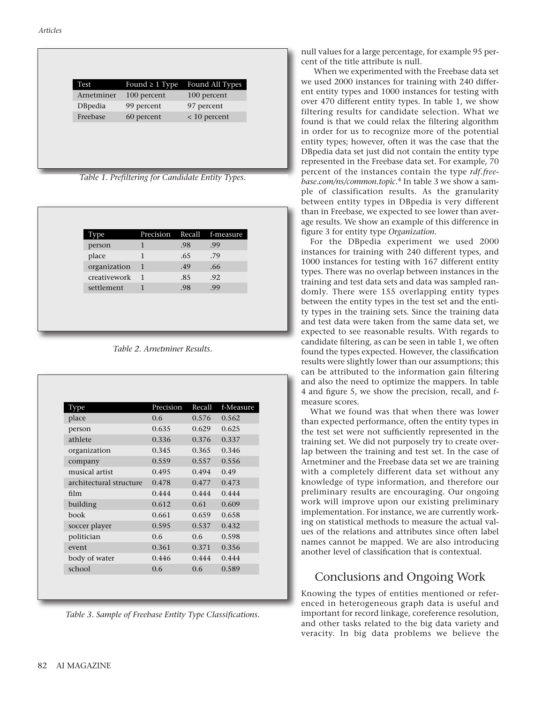| Arnetminer | 100 percent | Found All Types<br>100 percent |
|------------|-------------|--------------------------------|
| DBpedia    | 99 percent  | 97 percent                     |
| Freebase   | 60 percent  | $<$ 10 percent                 |

*Table 1. Prefiltering for Candidate Entity Types.*

| Type         |              |     | Precision Recall f-measure |
|--------------|--------------|-----|----------------------------|
| person       |              | .98 | .99                        |
| place        |              | .65 | .79                        |
| organization | -1           | .49 | .66                        |
| creativework | $\mathbf{1}$ | .85 | .92                        |
| settlement   |              | .98 | .99                        |

|  | Table 2. Arnetminer Results. |  |
|--|------------------------------|--|
|  |                              |  |

| Type                    | Precision     | Recall | f-Measure |
|-------------------------|---------------|--------|-----------|
| place                   | $0.6^{\circ}$ | 0.576  | 0.562     |
| person                  | 0.635         | 0.629  | 0.625     |
| athlete                 | 0.336         | 0.376  | 0.337     |
| organization            | 0.345         | 0.365  | 0.346     |
| company                 | 0.559         | 0.557  | 0.556     |
| musical artist          | 0.495         | 0.494  | 0.49      |
| architectural structure | 0.478         | 0.477  | 0.473     |
| film                    | 0.444         | 0.444  | 0.444     |
| building                | 0.612         | 0.61   | 0.609     |
| book                    | 0.661         | 0.659  | 0.658     |
| soccer player           | 0.595         | 0.537  | 0.432     |
| politician              | 0.6           | 0.6    | 0.598     |
| event                   | 0.361         | 0.371  | 0.356     |
| body of water           | 0.446         | 0.444  | 0.444     |
| school                  | 0.6           | 0.6    | 0.589     |

*Table 3. Sample of Freebase Entity Type Classifications.*

null values for a large percentage, for example 95 percent of the title attribute is null.

When we experimented with the Freebase data set we used 2000 instances for training with 240 different entity types and 1000 instances for testing with over 470 different entity types. In table 1, we show filtering results for candidate selection. What we found is that we could relax the filtering algorithm in order for us to recognize more of the potential entity types; however, often it was the case that the DBpedia data set just did not contain the entity type represented in the Freebase data set. For example, 70 percent of the instances contain the type *rdf.freebase.com/ns/common.topic*. <sup>4</sup> In table 3 we show a sample of classification results. As the granularity between entity types in DBpedia is very different than in Freebase, we expected to see lower than average results. We show an example of this difference in figure 3 for entity type *Organization.*

For the DBpedia experiment we used 2000 instances for training with 240 different types, and 1000 instances for testing with 167 different entity types. There was no overlap between instances in the training and test data sets and data was sampled randomly. There were 155 overlapping entity types between the entity types in the test set and the entity types in the training sets. Since the training data and test data were taken from the same data set, we expected to see reasonable results. With regards to candidate filtering, as can be seen in table 1, we often found the types expected. However, the classification results were slightly lower than our assumptions; this can be attributed to the information gain filtering and also the need to optimize the mappers. In table 4 and figure 5, we show the precision, recall, and fmeasure scores.

What we found was that when there was lower than expected performance, often the entity types in the test set were not sufficiently represented in the training set. We did not purposely try to create overlap between the training and test set. In the case of Arnetminer and the Freebase data set we are training with a completely different data set without any knowledge of type information, and therefore our preliminary results are encouraging. Our ongoing work will improve upon our existing preliminary implementation. For instance, we are currently working on statistical methods to measure the actual values of the relations and attributes since often label names cannot be mapped. We are also introducing another level of classification that is contextual.

# Conclusions and Ongoing Work

Knowing the types of entities mentioned or referenced in heterogeneous graph data is useful and important for record linkage, coreference resolution, and other tasks related to the big data variety and veracity. In big data problems we believe the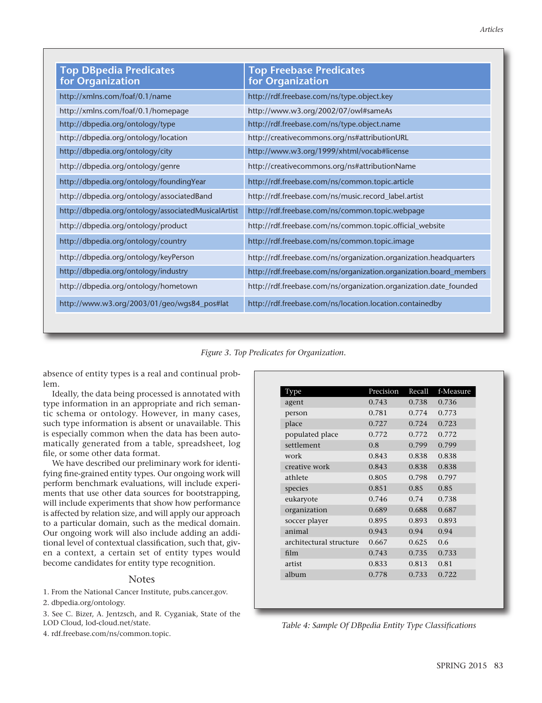| <b>Top DBpedia Predicates</b><br>for Organization   | <b>Top Freebase Predicates</b><br>for Organization                 |
|-----------------------------------------------------|--------------------------------------------------------------------|
| http://xmlns.com/foaf/0.1/name                      | http://rdf.freebase.com/ns/type.object.key                         |
| http://xmlns.com/foaf/0.1/homepage                  | http://www.w3.org/2002/07/owl#sameAs                               |
| http://dbpedia.org/ontology/type                    | http://rdf.freebase.com/ns/type.object.name                        |
| http://dbpedia.org/ontology/location                | http://creativecommons.org/ns#attributionURL                       |
| http://dbpedia.org/ontology/city                    | http://www.w3.org/1999/xhtml/vocab#license                         |
| http://dbpedia.org/ontology/genre                   | http://creativecommons.org/ns#attributionName                      |
| http://dbpedia.org/ontology/foundingYear            | http://rdf.freebase.com/ns/common.topic.article                    |
| http://dbpedia.org/ontology/associatedBand          | http://rdf.freebase.com/ns/music.record_label.artist               |
| http://dbpedia.org/ontology/associatedMusicalArtist | http://rdf.freebase.com/ns/common.topic.webpage                    |
| http://dbpedia.org/ontology/product                 | http://rdf.freebase.com/ns/common.topic.official_website           |
| http://dbpedia.org/ontology/country                 | http://rdf.freebase.com/ns/common.topic.image                      |
| http://dbpedia.org/ontology/keyPerson               | http://rdf.freebase.com/ns/organization.organization.headquarters  |
| http://dbpedia.org/ontology/industry                | http://rdf.freebase.com/ns/organization.organization.board_members |
| http://dbpedia.org/ontology/hometown                | http://rdf.freebase.com/ns/organization.organization.date_founded  |
| http://www.w3.org/2003/01/geo/wgs84_pos#lat         | http://rdf.freebase.com/ns/location.location.containedby           |

*Figure 3. Top Predicates for Organization.*

absence of entity types is a real and continual problem.

Ideally, the data being processed is annotated with type information in an appropriate and rich semantic schema or ontology. However, in many cases, such type information is absent or unavailable. This is especially common when the data has been automatically generated from a table, spreadsheet, log file, or some other data format.

We have described our preliminary work for identifying fine-grained entity types. Our ongoing work will perform benchmark evaluations, will include experiments that use other data sources for bootstrapping, will include experiments that show how performance is affected by relation size, and will apply our approach to a particular domain, such as the medical domain. Our ongoing work will also include adding an additional level of contextual classification, such that, given a context, a certain set of entity types would become candidates for entity type recognition.

#### Notes

1. From the National Cancer Institute, pubs.cancer.gov.

2. dbpedia.org/ontology.

3. See C. Bizer, A. Jentzsch, and R. Cyganiak, State of the LOD Cloud, lod-cloud.net/state.

4. rdf.freebase.com/ns/common.topic.

| 0.743<br>0.738<br>0.736<br>agent<br>0.774<br>0.773<br>0.781<br>person<br>0.724<br>0.723<br>place<br>0.727<br>0.772<br>0.772<br>0.772<br>populated place<br>settlement<br>0.799<br>0.799<br>0.8<br>work<br>0.843<br>0.838<br>0.838<br>creative work<br>0.843<br>0.838<br>0.838<br>athlete<br>0.805<br>0.798<br>0.797<br>0.851<br>0.85<br>0.85<br>species<br>eukaryote<br>0.74<br>0.738<br>0.746<br>organization<br>0.689<br>0.688<br>0.687<br>soccer player<br>0.895<br>0.893<br>0.893<br>animal<br>0.943<br>0.94<br>0.94<br>architectural structure<br>0.625<br>0.6<br>0.667<br>film<br>0.735<br>0.733<br>0.743<br>artist<br>0.833<br>0.813<br>0.81 | Type | Precision | Recall | f-Measure |
|-----------------------------------------------------------------------------------------------------------------------------------------------------------------------------------------------------------------------------------------------------------------------------------------------------------------------------------------------------------------------------------------------------------------------------------------------------------------------------------------------------------------------------------------------------------------------------------------------------------------------------------------------------|------|-----------|--------|-----------|
|                                                                                                                                                                                                                                                                                                                                                                                                                                                                                                                                                                                                                                                     |      |           |        |           |
|                                                                                                                                                                                                                                                                                                                                                                                                                                                                                                                                                                                                                                                     |      |           |        |           |
|                                                                                                                                                                                                                                                                                                                                                                                                                                                                                                                                                                                                                                                     |      |           |        |           |
|                                                                                                                                                                                                                                                                                                                                                                                                                                                                                                                                                                                                                                                     |      |           |        |           |
|                                                                                                                                                                                                                                                                                                                                                                                                                                                                                                                                                                                                                                                     |      |           |        |           |
|                                                                                                                                                                                                                                                                                                                                                                                                                                                                                                                                                                                                                                                     |      |           |        |           |
|                                                                                                                                                                                                                                                                                                                                                                                                                                                                                                                                                                                                                                                     |      |           |        |           |
|                                                                                                                                                                                                                                                                                                                                                                                                                                                                                                                                                                                                                                                     |      |           |        |           |
|                                                                                                                                                                                                                                                                                                                                                                                                                                                                                                                                                                                                                                                     |      |           |        |           |
|                                                                                                                                                                                                                                                                                                                                                                                                                                                                                                                                                                                                                                                     |      |           |        |           |
|                                                                                                                                                                                                                                                                                                                                                                                                                                                                                                                                                                                                                                                     |      |           |        |           |
|                                                                                                                                                                                                                                                                                                                                                                                                                                                                                                                                                                                                                                                     |      |           |        |           |
|                                                                                                                                                                                                                                                                                                                                                                                                                                                                                                                                                                                                                                                     |      |           |        |           |
|                                                                                                                                                                                                                                                                                                                                                                                                                                                                                                                                                                                                                                                     |      |           |        |           |
|                                                                                                                                                                                                                                                                                                                                                                                                                                                                                                                                                                                                                                                     |      |           |        |           |
|                                                                                                                                                                                                                                                                                                                                                                                                                                                                                                                                                                                                                                                     |      |           |        |           |
| album<br>0.778<br>0.733<br>0.722                                                                                                                                                                                                                                                                                                                                                                                                                                                                                                                                                                                                                    |      |           |        |           |

*Table 4: Sample Of DBpedia Entity Type Classifications*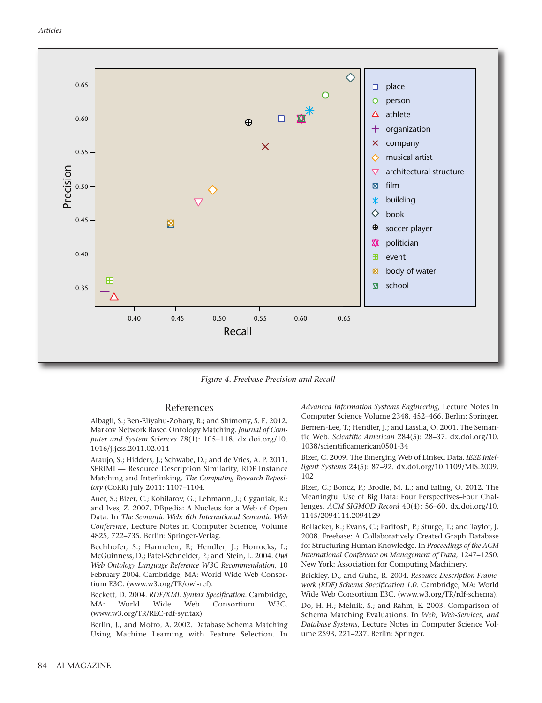

*Figure 4. Freebase Precision and Recall*

#### References

Albagli, S.; Ben-Eliyahu-Zohary, R.; and Shimony, S. E. 2012. Markov Network Based Ontology Matching. *Journal of Computer and System Sciences* 78(1): 105–118. dx.doi.org/10. 1016/j.jcss.2011.02.014

Araujo, S.; Hidders, J.; Schwabe, D.; and de Vries, A. P. 2011. SERIMI — Resource Description Similarity, RDF Instance Matching and Interlinking. *The Computing Research Repository* (CoRR) July 2011: 1107–1104.

Auer, S.; Bizer, C.; Kobilarov, G.; Lehmann, J.; Cyganiak, R.; and Ives, Z. 2007. DBpedia: A Nucleus for a Web of Open Data. In *The Semantic Web: 6th International Semantic Web Conference*, Lecture Notes in Computer Science, Volume 4825, 722–735. Berlin: Springer-Verlag.

Bechhofer, S.; Harmelen, F.; Hendler, J.; Horrocks, I.; McGuinness, D.; Patel-Schneider, P.; and Stein, L. 2004. *Owl Web Ontology Language Reference W3C Recommendation*, 10 February 2004. Cambridge, MA: World Wide Web Consortium E3C. (www.w3.org/TR/owl-ref).

Beckett, D. 2004. *RDF/XML Syntax Specification*. Cambridge, MA: World Wide Web Consortium W3C. (www.w3.org/TR/REC-rdf-syntax)

Berlin, J., and Motro, A. 2002. Database Schema Matching Using Machine Learning with Feature Selection. In *Advanced Information Systems Engineering,* Lecture Notes in Computer Science Volume 2348, 452–466. Berlin: Springer. Berners-Lee, T.; Hendler, J.; and Lassila, O. 2001. The Semantic Web. *Scientific American* 284(5): 28–37. dx.doi.org/10. 1038/scientificamerican0501-34

Bizer, C. 2009. The Emerging Web of Linked Data. *IEEE Intelligent Systems* 24(5): 87–92. dx.doi.org/10.1109/MIS.2009. 102

Bizer, C.; Boncz, P.; Brodie, M. L.; and Erling, O. 2012. The Meaningful Use of Big Data: Four Perspectives–Four Challenges. *ACM SIGMOD Record* 40(4): 56–60. dx.doi.org/10. 1145/2094114.2094129

Bollacker, K.; Evans, C.; Paritosh, P.; Sturge, T.; and Taylor, J. 2008. Freebase: A Collaboratively Created Graph Database for Structuring Human Knowledge. In *Proceedings of the ACM International Conference on Management of Data,* 1247–1250. New York: Association for Computing Machinery.

Brickley, D., and Guha, R. 2004. *Resource Description Framework (RDF) Schema Specification 1.0*. Cambridge, MA: World Wide Web Consortium E3C. (www.w3.org/TR/rdf-schema).

Do, H.-H.; Melnik, S.; and Rahm, E. 2003. Comparison of Schema Matching Evaluations. In *Web, Web-Services, and Database Systems,* Lecture Notes in Computer Science Volume 2593, 221–237. Berlin: Springer.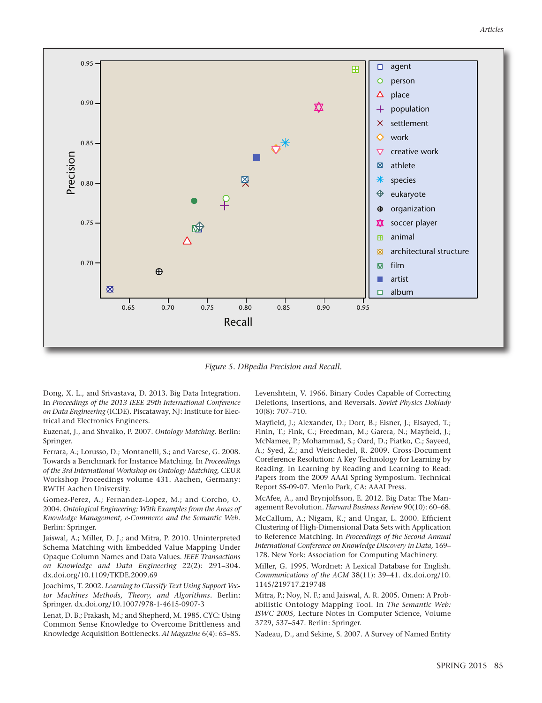

*Figure 5. DBpedia Precision and Recall.*

Dong, X. L., and Srivastava, D. 2013. Big Data Integration. In *Proceedings of the 2013 IEEE 29th International Conference on Data Engineering* (ICDE). Piscataway, NJ: Institute for Electrical and Electronics Engineers.

Euzenat, J., and Shvaiko, P. 2007. *Ontology Matching*. Berlin: Springer.

Ferrara, A.; Lorusso, D.; Montanelli, S.; and Varese, G. 2008. Towards a Benchmark for Instance Matching. In *Proceedings of the 3rd International Workshop on Ontology Matching,* CEUR Workshop Proceedings volume 431. Aachen, Germany: RWTH Aachen University.

Gomez-Perez, A.; Fernandez-Lopez, M.; and Corcho, O. 2004. *Ontological Engineering: With Examples from the Areas of Knowledge Management, e-Commerce and the Semantic Web.* Berlin: Springer.

Jaiswal, A.; Miller, D. J.; and Mitra, P. 2010. Uninterpreted Schema Matching with Embedded Value Mapping Under Opaque Column Names and Data Values. *IEEE Transactions on Knowledge and Data Engineering* 22(2): 291–304. dx.doi.org/10.1109/TKDE.2009.69

Joachims, T. 2002. *Learning to Classify Text Using Support Vector Machines Methods, Theory, and Algorithms.* Berlin: Springer. dx.doi.org/10.1007/978-1-4615-0907-3

Lenat, D. B.; Prakash, M.; and Shepherd, M. 1985. CYC: Using Common Sense Knowledge to Overcome Brittleness and Knowledge Acquisition Bottlenecks. *AI Magazine* 6(4): 65–85.

Levenshtein, V. 1966. Binary Codes Capable of Correcting Deletions, Insertions, and Reversals. *Soviet Physics Doklady* 10(8): 707–710.

Mayfield, J.; Alexander, D.; Dorr, B.; Eisner, J.; Elsayed, T.; Finin, T.; Fink, C.; Freedman, M.; Garera, N.; Mayfield, J.; McNamee, P.; Mohammad, S.; Oard, D.; Piatko, C.; Sayeed, A.; Syed, Z.; and Weischedel, R. 2009. Cross-Document Coreference Resolution: A Key Technology for Learning by Reading. In Learning by Reading and Learning to Read: Papers from the 2009 AAAI Spring Symposium. Technical Report SS-09-07. Menlo Park, CA: AAAI Press.

McAfee, A., and Brynjolfsson, E. 2012. Big Data: The Management Revolution. *Harvard Business Review* 90(10): 60–68.

McCallum, A.; Nigam, K.; and Ungar, L. 2000. Efficient Clustering of High-Dimensional Data Sets with Application to Reference Matching. In *Proceedings of the Second Annual International Conference on Knowledge Discovery in Data,* 169– 178. New York: Association for Computing Machinery.

Miller, G. 1995. Wordnet: A Lexical Database for English. *Communications of the ACM* 38(11): 39–41. dx.doi.org/10. 1145/219717.219748

Mitra, P.; Noy, N. F.; and Jaiswal, A. R. 2005. Omen: A Probabilistic Ontology Mapping Tool. In *The Semantic Web: ISWC 2005,* Lecture Notes in Computer Science, Volume 3729, 537–547. Berlin: Springer.

Nadeau, D., and Sekine, S. 2007. A Survey of Named Entity